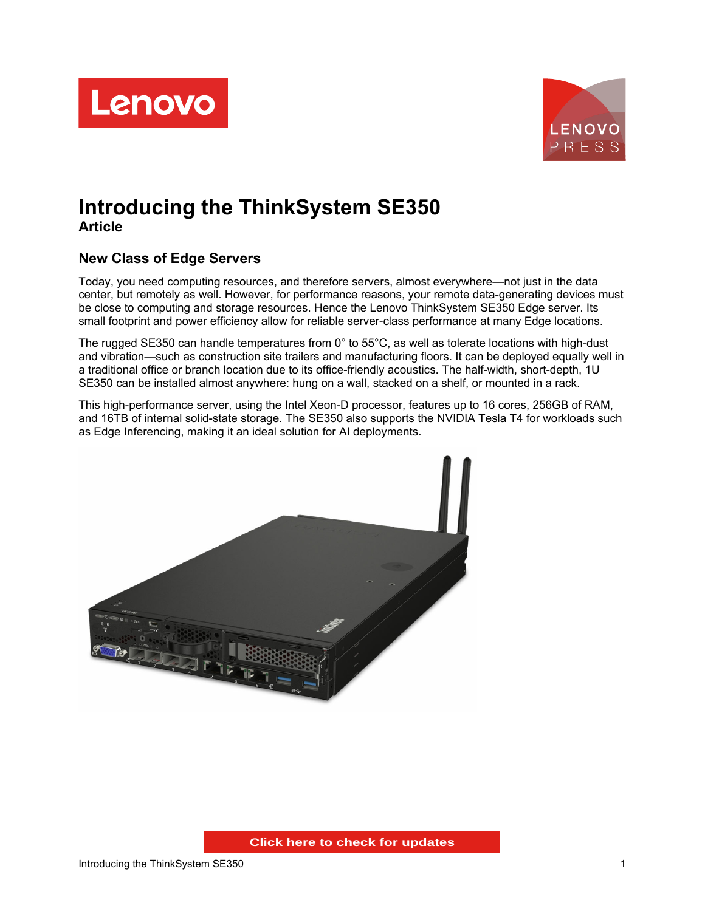



# **Introducing the ThinkSystem SE350 Article**

# **New Class of Edge Servers**

Today, you need computing resources, and therefore servers, almost everywhere—not just in the data center, but remotely as well. However, for performance reasons, your remote data-generating devices must be close to computing and storage resources. Hence the Lenovo ThinkSystem SE350 Edge server. Its small footprint and power efficiency allow for reliable server-class performance at many Edge locations.

The rugged SE350 can handle temperatures from 0° to 55°C, as well as tolerate locations with high-dust and vibration—such as construction site trailers and manufacturing floors. It can be deployed equally well in a traditional office or branch location due to its office-friendly acoustics. The half-width, short-depth, 1U SE350 can be installed almost anywhere: hung on a wall, stacked on a shelf, or mounted in a rack.

This high-performance server, using the Intel Xeon-D processor, features up to 16 cores, 256GB of RAM, and 16TB of internal solid-state storage. The SE350 also supports the NVIDIA Tesla T4 for workloads such as Edge Inferencing, making it an ideal solution for AI deployments.

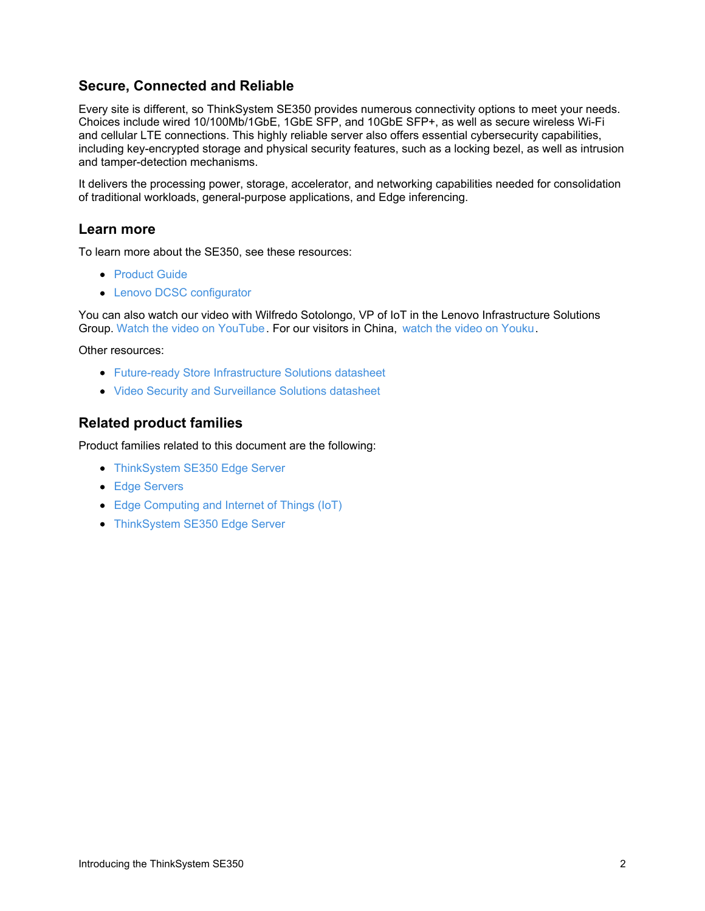### **Secure, Connected and Reliable**

Every site is different, so ThinkSystem SE350 provides numerous connectivity options to meet your needs. Choices include wired 10/100Mb/1GbE, 1GbE SFP, and 10GbE SFP+, as well as secure wireless Wi-Fi and cellular LTE connections. This highly reliable server also offers essential cybersecurity capabilities, including key-encrypted storage and physical security features, such as a locking bezel, as well as intrusion and tamper-detection mechanisms.

It delivers the processing power, storage, accelerator, and networking capabilities needed for consolidation of traditional workloads, general-purpose applications, and Edge inferencing.

#### **Learn more**

To learn more about the SE350, see these resources:

- [Product](https://lenovopress.com/lp1168-thinksystem-se350-edge-server) Guide
- Lenovo DCSC [configurator](https://dcsc.lenovo.com/#/categories/STG%40Servers%40Edge Servers%40ThinkSystem SE350)

You can also watch our video with Wilfredo Sotolongo, VP of IoT in the Lenovo Infrastructure Solutions Group. Watch the video on [YouTube](https://www.youtube.com/watch?v=raPzbhuyW5Y). For our visitors in China, watch the video on [Youku](http://v.youku.com/v_show/id_XNDA3MDgzMjYyMA==.html).

Other resources:

- Future-ready Store [Infrastructure](https://lenovopress.com/DS0080) Solutions datasheet
- Video Security and [Surveillance](https://lenovopress.com/DS0084) Solutions datasheet

#### **Related product families**

Product families related to this document are the following:

- [ThinkSystem](https://lenovopress.com/servers/thinkedge/se350) SE350 Edge Server
- **Edge [Servers](https://lenovopress.com/servers/edge)**
- Edge [Computing](https://lenovopress.com/software/iot) and Internet of Things (IoT)
- [ThinkSystem](https://lenovopress.com/servers/thinksystem/se350) SE350 Edge Server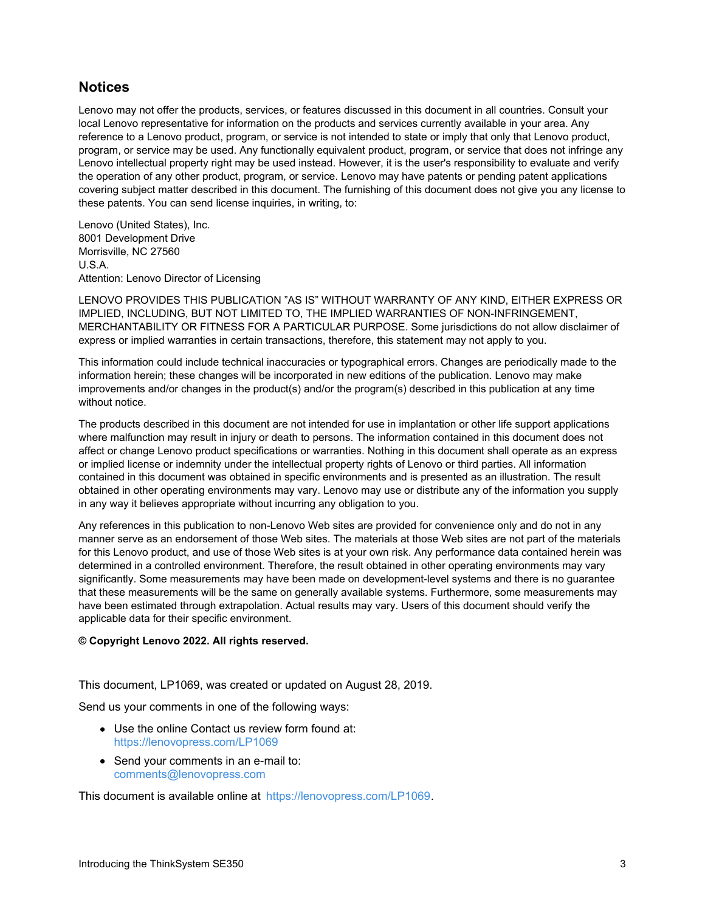#### **Notices**

Lenovo may not offer the products, services, or features discussed in this document in all countries. Consult your local Lenovo representative for information on the products and services currently available in your area. Any reference to a Lenovo product, program, or service is not intended to state or imply that only that Lenovo product, program, or service may be used. Any functionally equivalent product, program, or service that does not infringe any Lenovo intellectual property right may be used instead. However, it is the user's responsibility to evaluate and verify the operation of any other product, program, or service. Lenovo may have patents or pending patent applications covering subject matter described in this document. The furnishing of this document does not give you any license to these patents. You can send license inquiries, in writing, to:

Lenovo (United States), Inc. 8001 Development Drive Morrisville, NC 27560 U.S.A. Attention: Lenovo Director of Licensing

LENOVO PROVIDES THIS PUBLICATION "AS IS" WITHOUT WARRANTY OF ANY KIND, EITHER EXPRESS OR IMPLIED, INCLUDING, BUT NOT LIMITED TO, THE IMPLIED WARRANTIES OF NON-INFRINGEMENT, MERCHANTABILITY OR FITNESS FOR A PARTICULAR PURPOSE. Some jurisdictions do not allow disclaimer of express or implied warranties in certain transactions, therefore, this statement may not apply to you.

This information could include technical inaccuracies or typographical errors. Changes are periodically made to the information herein; these changes will be incorporated in new editions of the publication. Lenovo may make improvements and/or changes in the product(s) and/or the program(s) described in this publication at any time without notice.

The products described in this document are not intended for use in implantation or other life support applications where malfunction may result in injury or death to persons. The information contained in this document does not affect or change Lenovo product specifications or warranties. Nothing in this document shall operate as an express or implied license or indemnity under the intellectual property rights of Lenovo or third parties. All information contained in this document was obtained in specific environments and is presented as an illustration. The result obtained in other operating environments may vary. Lenovo may use or distribute any of the information you supply in any way it believes appropriate without incurring any obligation to you.

Any references in this publication to non-Lenovo Web sites are provided for convenience only and do not in any manner serve as an endorsement of those Web sites. The materials at those Web sites are not part of the materials for this Lenovo product, and use of those Web sites is at your own risk. Any performance data contained herein was determined in a controlled environment. Therefore, the result obtained in other operating environments may vary significantly. Some measurements may have been made on development-level systems and there is no guarantee that these measurements will be the same on generally available systems. Furthermore, some measurements may have been estimated through extrapolation. Actual results may vary. Users of this document should verify the applicable data for their specific environment.

#### **© Copyright Lenovo 2022. All rights reserved.**

This document, LP1069, was created or updated on August 28, 2019.

Send us your comments in one of the following ways:

- Use the online Contact us review form found at: <https://lenovopress.com/LP1069>
- Send your comments in an e-mail to: [comments@lenovopress.com](mailto:comments@lenovopress.com?subject=Feedback for LP1069)

This document is available online at <https://lenovopress.com/LP1069>.